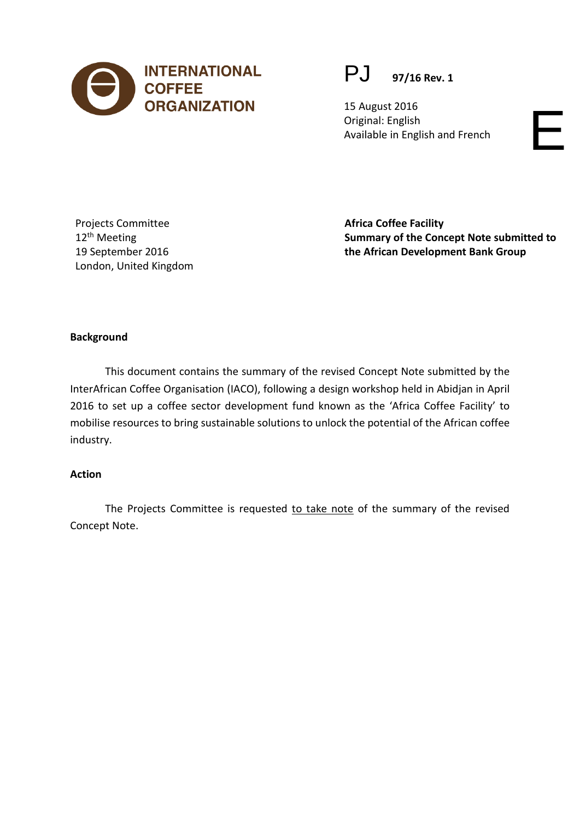

# PJ **97/16 Rev. 1**

15 August 2016 Original: English Available in English and French

Projects Committee 12<sup>th</sup> Meeting 19 September 2016 London, United Kingdom **Africa Coffee Facility Summary of the Concept Note submitted to the African Development Bank Group** 

#### **Background**

This document contains the summary of the revised Concept Note submitted by the InterAfrican Coffee Organisation (IACO), following a design workshop held in Abidjan in April 2016 to set up a coffee sector development fund known as the 'Africa Coffee Facility' to mobilise resources to bring sustainable solutions to unlock the potential of the African coffee industry.

#### **Action**

The Projects Committee is requested to take note of the summary of the revised Concept Note.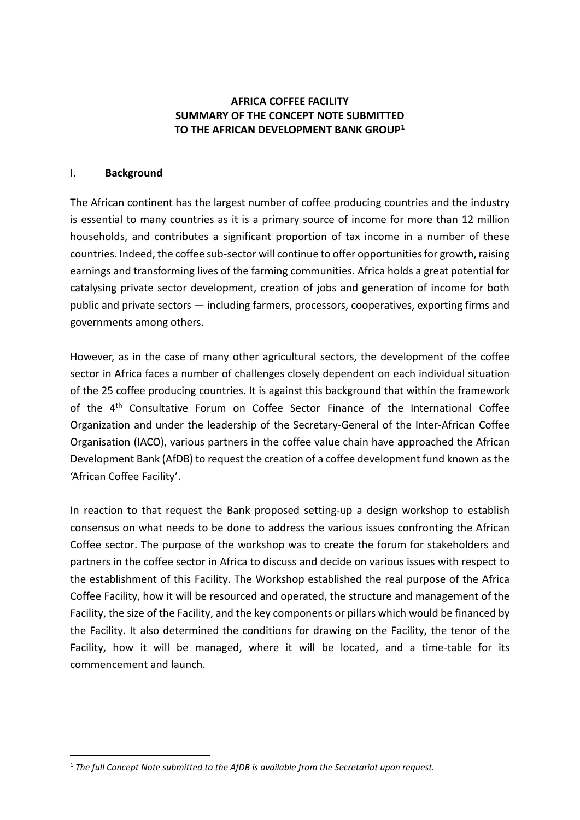### **AFRICA COFFEE FACILITY SUMMARY OF THE CONCEPT NOTE SUBMITTED TO THE AFRICAN DEVELOPMENT BANK GROUP[1](#page-1-0)**

#### I. **Background**

The African continent has the largest number of coffee producing countries and the industry is essential to many countries as it is a primary source of income for more than 12 million households, and contributes a significant proportion of tax income in a number of these countries. Indeed, the coffee sub-sector will continue to offer opportunities for growth, raising earnings and transforming lives of the farming communities. Africa holds a great potential for catalysing private sector development, creation of jobs and generation of income for both public and private sectors — including farmers, processors, cooperatives, exporting firms and governments among others.

However, as in the case of many other agricultural sectors, the development of the coffee sector in Africa faces a number of challenges closely dependent on each individual situation of the 25 coffee producing countries. It is against this background that within the framework of the 4<sup>th</sup> Consultative Forum on Coffee Sector Finance of the International Coffee Organization and under the leadership of the Secretary-General of the Inter-African Coffee Organisation (IACO), various partners in the coffee value chain have approached the African Development Bank (AfDB) to request the creation of a coffee development fund known as the 'African Coffee Facility'.

In reaction to that request the Bank proposed setting-up a design workshop to establish consensus on what needs to be done to address the various issues confronting the African Coffee sector. The purpose of the workshop was to create the forum for stakeholders and partners in the coffee sector in Africa to discuss and decide on various issues with respect to the establishment of this Facility. The Workshop established the real purpose of the Africa Coffee Facility, how it will be resourced and operated, the structure and management of the Facility, the size of the Facility, and the key components or pillars which would be financed by the Facility. It also determined the conditions for drawing on the Facility, the tenor of the Facility, how it will be managed, where it will be located, and a time-table for its commencement and launch.

<span id="page-1-0"></span><sup>-</sup><sup>1</sup> *The full Concept Note submitted to the AfDB is available from the Secretariat upon request.*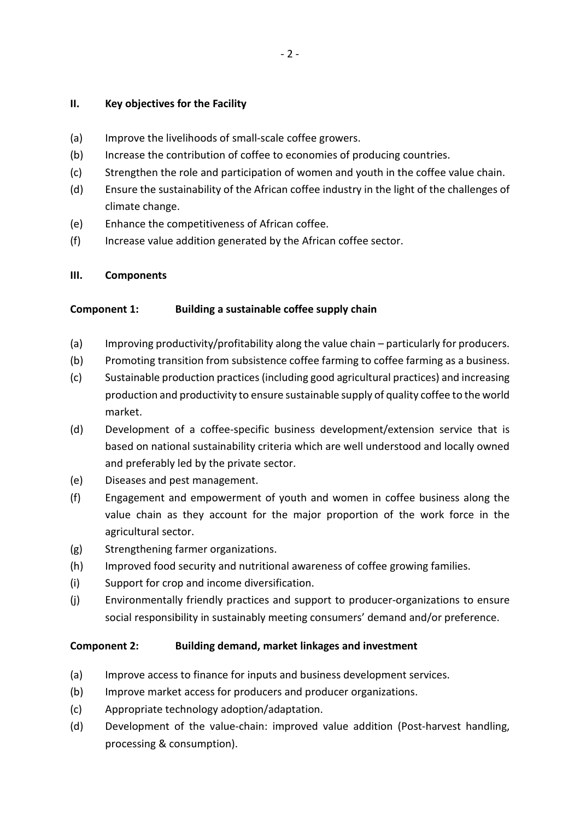#### **II. Key objectives for the Facility**

- (a) Improve the livelihoods of small-scale coffee growers.
- (b) Increase the contribution of coffee to economies of producing countries.
- (c) Strengthen the role and participation of women and youth in the coffee value chain.
- (d) Ensure the sustainability of the African coffee industry in the light of the challenges of climate change.
- (e) Enhance the competitiveness of African coffee.
- (f) Increase value addition generated by the African coffee sector.

### **III. Components**

### **Component 1: Building a sustainable coffee supply chain**

- (a) Improving productivity/profitability along the value chain particularly for producers.
- (b) Promoting transition from subsistence coffee farming to coffee farming as a business.
- (c) Sustainable production practices (including good agricultural practices) and increasing production and productivity to ensure sustainable supply of quality coffee to the world market.
- (d) Development of a coffee-specific business development/extension service that is based on national sustainability criteria which are well understood and locally owned and preferably led by the private sector.
- (e) Diseases and pest management.
- (f) Engagement and empowerment of youth and women in coffee business along the value chain as they account for the major proportion of the work force in the agricultural sector.
- (g) Strengthening farmer organizations.
- (h) Improved food security and nutritional awareness of coffee growing families.
- (i) Support for crop and income diversification.
- (j) Environmentally friendly practices and support to producer-organizations to ensure social responsibility in sustainably meeting consumers' demand and/or preference.

### **Component 2: Building demand, market linkages and investment**

- (a) Improve access to finance for inputs and business development services.
- (b) Improve market access for producers and producer organizations.
- (c) Appropriate technology adoption/adaptation.
- (d) Development of the value-chain: improved value addition (Post-harvest handling, processing & consumption).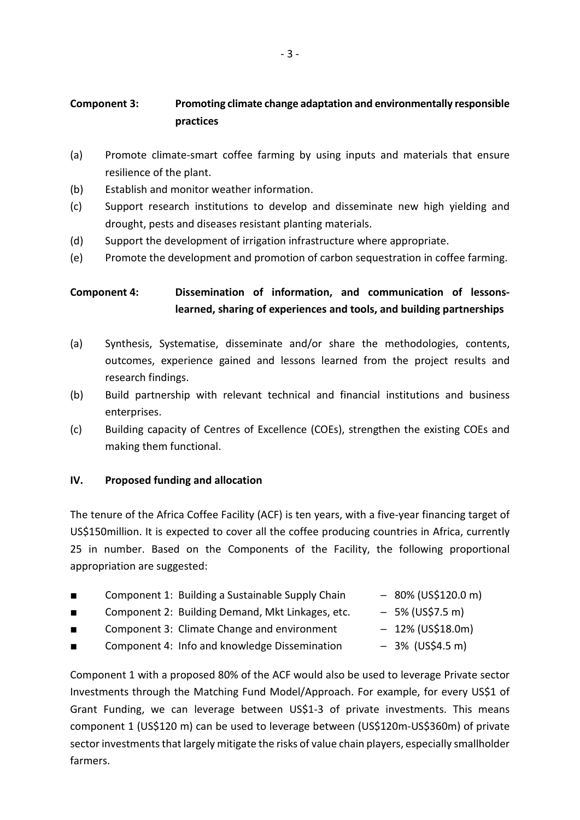# **Component 3: Promoting climate change adaptation and environmentally responsible practices**

- (a) Promote climate-smart coffee farming by using inputs and materials that ensure resilience of the plant.
- (b) Establish and monitor weather information.
- (c) Support research institutions to develop and disseminate new high yielding and drought, pests and diseases resistant planting materials.
- (d) Support the development of irrigation infrastructure where appropriate.
- (e) Promote the development and promotion of carbon sequestration in coffee farming.

# **Component 4: Dissemination of information, and communication of lessonslearned, sharing of experiences and tools, and building partnerships**

- (a) Synthesis, Systematise, disseminate and/or share the methodologies, contents, outcomes, experience gained and lessons learned from the project results and research findings.
- (b) Build partnership with relevant technical and financial institutions and business enterprises.
- (c) Building capacity of Centres of Excellence (COEs), strengthen the existing COEs and making them functional.

#### **IV. Proposed funding and allocation**

The tenure of the Africa Coffee Facility (ACF) is ten years, with a five-year financing target of US\$150million. It is expected to cover all the coffee producing countries in Africa, currently 25 in number. Based on the Components of the Facility, the following proportional appropriation are suggested:

- Component 1: Building a Sustainable Supply Chain 80% (US\$120.0 m)
- Component 2: Building Demand, Mkt Linkages, etc.  $-5%$  (US\$7.5 m)
- Component 3: Climate Change and environment  $-12\%$  (US\$18.0m)
- Component 4: Info and knowledge Dissemination  $-$  3% (US\$4.5 m)
- -
	-
	-

Component 1 with a proposed 80% of the ACF would also be used to leverage Private sector Investments through the Matching Fund Model/Approach. For example, for every US\$1 of Grant Funding, we can leverage between US\$1-3 of private investments. This means component 1 (US\$120 m) can be used to leverage between (US\$120m-US\$360m) of private sector investments that largely mitigate the risks of value chain players, especially smallholder farmers.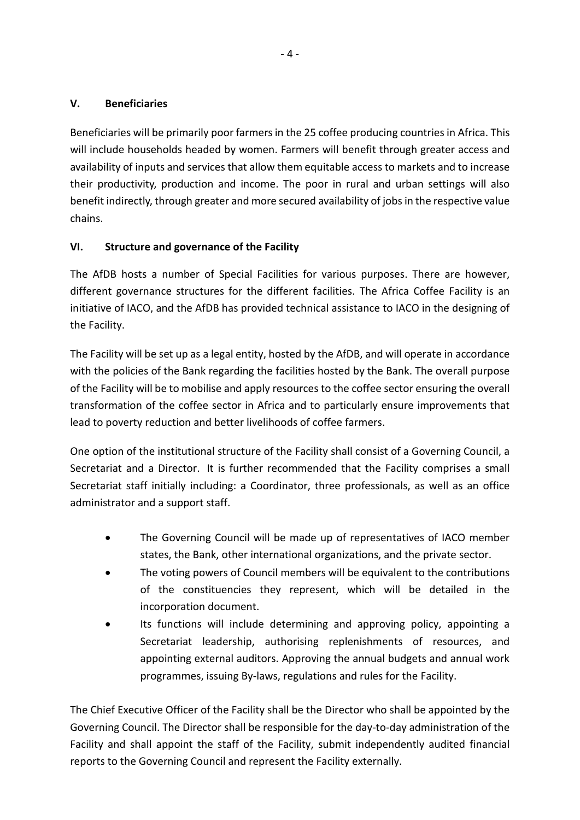## **V. Beneficiaries**

Beneficiaries will be primarily poor farmers in the 25 coffee producing countries in Africa. This will include households headed by women. Farmers will benefit through greater access and availability of inputs and services that allow them equitable access to markets and to increase their productivity, production and income. The poor in rural and urban settings will also benefit indirectly, through greater and more secured availability of jobs in the respective value chains.

## **VI. Structure and governance of the Facility**

The AfDB hosts a number of Special Facilities for various purposes. There are however, different governance structures for the different facilities. The Africa Coffee Facility is an initiative of IACO, and the AfDB has provided technical assistance to IACO in the designing of the Facility.

The Facility will be set up as a legal entity, hosted by the AfDB, and will operate in accordance with the policies of the Bank regarding the facilities hosted by the Bank. The overall purpose of the Facility will be to mobilise and apply resources to the coffee sector ensuring the overall transformation of the coffee sector in Africa and to particularly ensure improvements that lead to poverty reduction and better livelihoods of coffee farmers.

One option of the institutional structure of the Facility shall consist of a Governing Council, a Secretariat and a Director. It is further recommended that the Facility comprises a small Secretariat staff initially including: a Coordinator, three professionals, as well as an office administrator and a support staff.

- The Governing Council will be made up of representatives of IACO member states, the Bank, other international organizations, and the private sector.
- The voting powers of Council members will be equivalent to the contributions of the constituencies they represent, which will be detailed in the incorporation document.
- Its functions will include determining and approving policy, appointing a Secretariat leadership, authorising replenishments of resources, and appointing external auditors. Approving the annual budgets and annual work programmes, issuing By-laws, regulations and rules for the Facility.

The Chief Executive Officer of the Facility shall be the Director who shall be appointed by the Governing Council. The Director shall be responsible for the day-to-day administration of the Facility and shall appoint the staff of the Facility, submit independently audited financial reports to the Governing Council and represent the Facility externally.